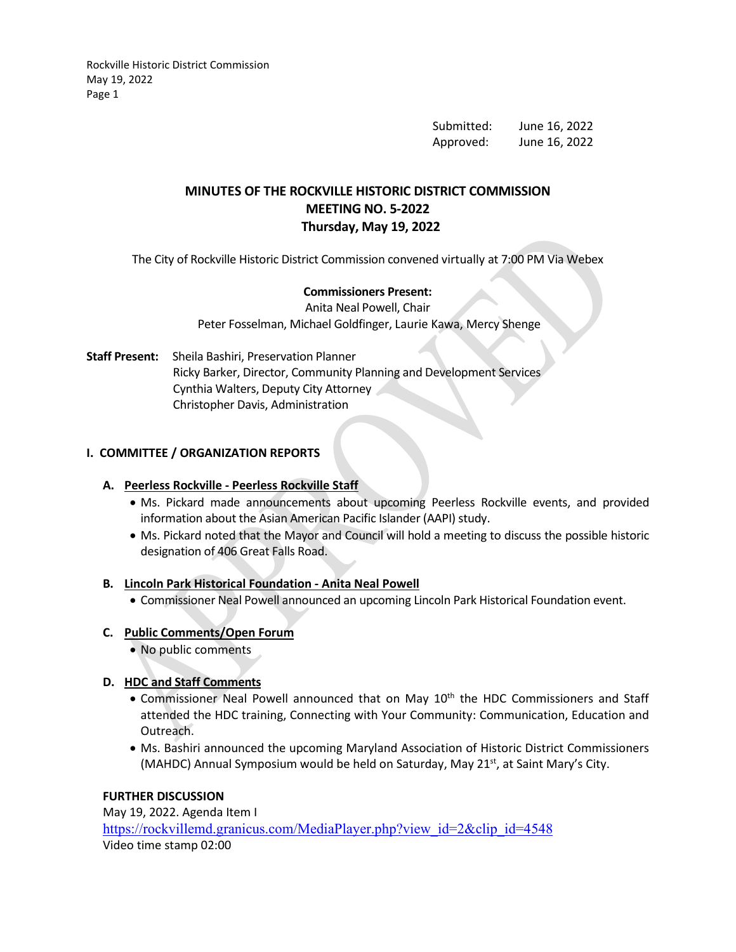> Submitted: June 16, 2022 Approved: June 16, 2022

# **MINUTES OF THE ROCKVILLE HISTORIC DISTRICT COMMISSION MEETING NO. 5-2022 Thursday, May 19, 2022**

The City of Rockville Historic District Commission convened virtually at 7:00 PM Via Webex

### **Commissioners Present:**

Anita Neal Powell, Chair Peter Fosselman, Michael Goldfinger, Laurie Kawa, Mercy Shenge

**Staff Present:** Sheila Bashiri, Preservation Planner Ricky Barker, Director, Community Planning and Development Services Cynthia Walters, Deputy City Attorney Christopher Davis, Administration

# **I. COMMITTEE / ORGANIZATION REPORTS**

### **A. Peerless Rockville - Peerless Rockville Staff**

- Ms. Pickard made announcements about upcoming Peerless Rockville events, and provided information about the Asian American Pacific Islander (AAPI) study.
- Ms. Pickard noted that the Mayor and Council will hold a meeting to discuss the possible historic designation of 406 Great Falls Road.

### **B. Lincoln Park Historical Foundation - Anita Neal Powell**

• Commissioner Neal Powell announced an upcoming Lincoln Park Historical Foundation event.

### **C. Public Comments/Open Forum**

• No public comments

### **D. HDC and Staff Comments**

- Commissioner Neal Powell announced that on May 10<sup>th</sup> the HDC Commissioners and Staff attended the HDC training, Connecting with Your Community: Communication, Education and Outreach.
- Ms. Bashiri announced the upcoming Maryland Association of Historic District Commissioners (MAHDC) Annual Symposium would be held on Saturday, May 21 $st$ , at Saint Mary's City.

### **FURTHER DISCUSSION**

May 19, 2022. Agenda Item I [https://rockvillemd.granicus.com/MediaPlayer.php?view\\_id=2&clip\\_id=4548](https://rockvillemd.granicus.com/MediaPlayer.php?view_id=2&clip_id=4548) Video time stamp 02:00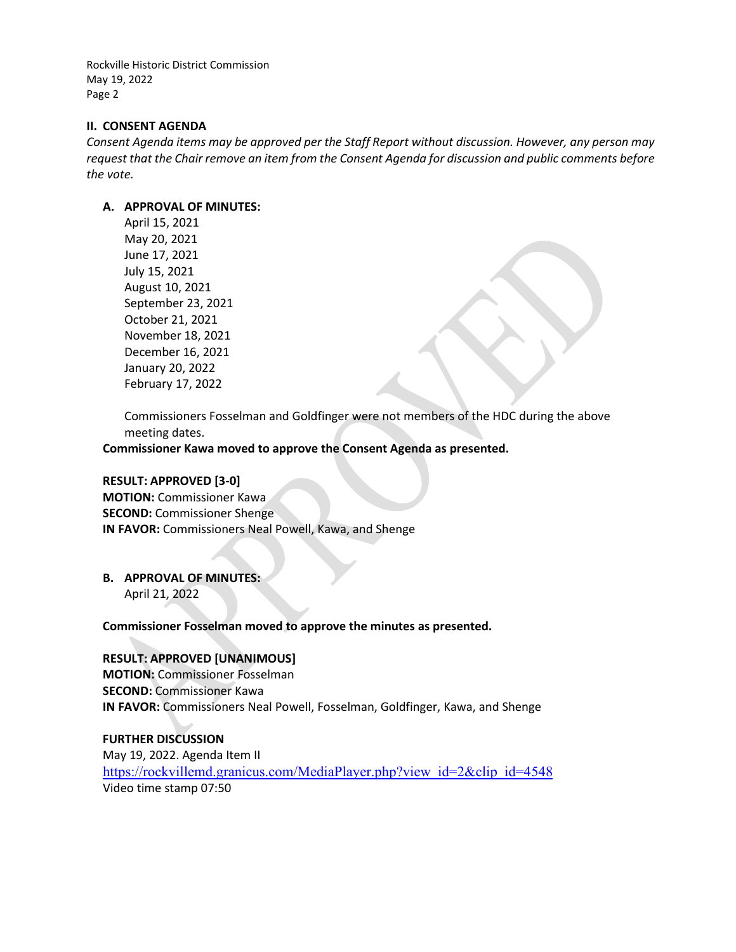#### **II. CONSENT AGENDA**

*Consent Agenda items may be approved per the Staff Report without discussion. However, any person may request that the Chair remove an item from the Consent Agenda for discussion and public comments before the vote.*

#### **A. APPROVAL OF MINUTES:**

April 15, 2021 May 20, 2021 June 17, 2021 July 15, 2021 August 10, 2021 September 23, 2021 October 21, 2021 November 18, 2021 December 16, 2021 January 20, 2022 February 17, 2022

Commissioners Fosselman and Goldfinger were not members of the HDC during the above meeting dates.

**Commissioner Kawa moved to approve the Consent Agenda as presented.**

### **RESULT: APPROVED [3-0]**

**MOTION:** Commissioner Kawa **SECOND:** Commissioner Shenge **IN FAVOR:** Commissioners Neal Powell, Kawa, and Shenge

### **B. APPROVAL OF MINUTES:**

April 21, 2022

**Commissioner Fosselman moved to approve the minutes as presented.** 

### **RESULT: APPROVED [UNANIMOUS]**

**MOTION:** Commissioner Fosselman **SECOND:** Commissioner Kawa **IN FAVOR:** Commissioners Neal Powell, Fosselman, Goldfinger, Kawa, and Shenge

### **FURTHER DISCUSSION**

May 19, 2022. Agenda Item II [https://rockvillemd.granicus.com/MediaPlayer.php?view\\_id=2&clip\\_id=4548](https://rockvillemd.granicus.com/MediaPlayer.php?view_id=2&clip_id=4548) Video time stamp 07:50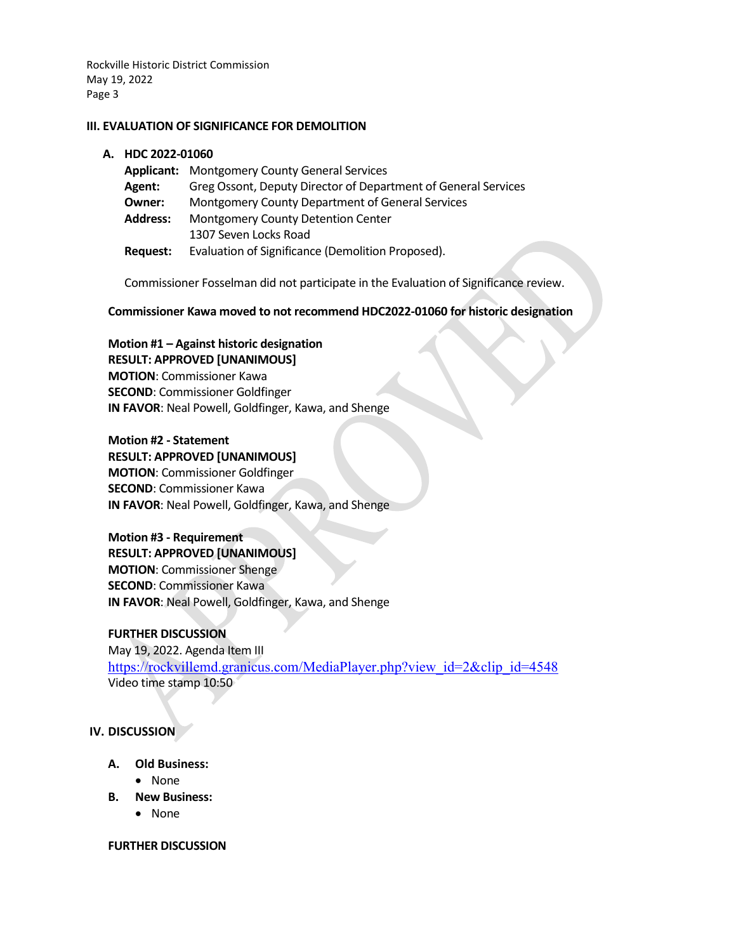#### **III. EVALUATION OF SIGNIFICANCE FOR DEMOLITION**

#### **A. HDC 2022-01060**

|                 | <b>Applicant:</b> Montgomery County General Services           |
|-----------------|----------------------------------------------------------------|
| <b>Agent:</b>   | Greg Ossont, Deputy Director of Department of General Services |
| Owner:          | Montgomery County Department of General Services               |
| <b>Address:</b> | Montgomery County Detention Center                             |
|                 | 1307 Seven Locks Road                                          |
| Request:        | Evaluation of Significance (Demolition Proposed).              |

Commissioner Fosselman did not participate in the Evaluation of Significance review.

**Commissioner Kawa moved to not recommend HDC2022-01060 for historic designation** 

**Motion #1 – Against historic designation RESULT: APPROVED [UNANIMOUS] MOTION**: Commissioner Kawa **SECOND**: Commissioner Goldfinger **IN FAVOR**: Neal Powell, Goldfinger, Kawa, and Shenge

#### **Motion #2 - Statement**

**RESULT: APPROVED [UNANIMOUS] MOTION**: Commissioner Goldfinger **SECOND**: Commissioner Kawa **IN FAVOR**: Neal Powell, Goldfinger, Kawa, and Shenge

### **Motion #3 - Requirement**

**RESULT: APPROVED [UNANIMOUS] MOTION**: Commissioner Shenge **SECOND**: Commissioner Kawa **IN FAVOR**: Neal Powell, Goldfinger, Kawa, and Shenge

### **FURTHER DISCUSSION**

May 19, 2022. Agenda Item III [https://rockvillemd.granicus.com/MediaPlayer.php?view\\_id=2&clip\\_id=4548](https://rockvillemd.granicus.com/MediaPlayer.php?view_id=2&clip_id=4548) Video time stamp 10:50

### **IV. DISCUSSION**

- **A. Old Business:** 
	- None
- **B. New Business:**
	- None

#### **FURTHER DISCUSSION**